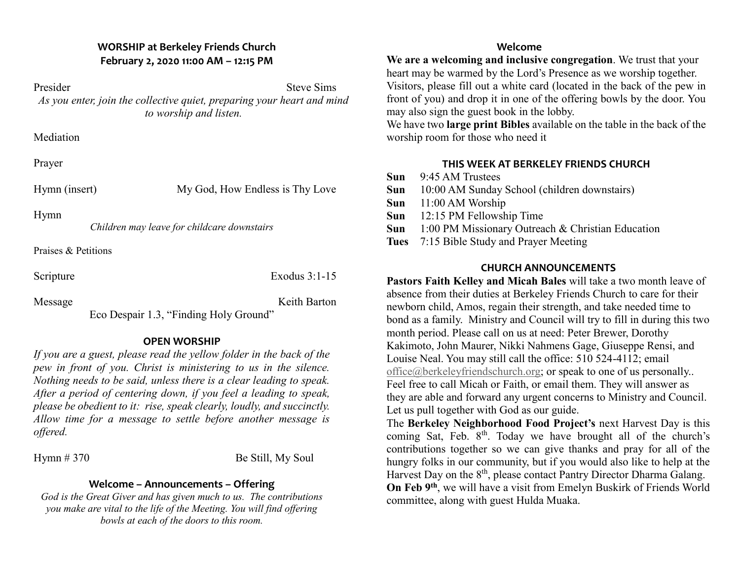#### **WORSHIP at Berkeley Friends Church February 2, 2020 11:00 AM – 12:15 PM**

Presider Steve Sims *As you enter, join the collective quiet, preparing your heart and mind to worship and listen.*

**Mediation** 

Prayer

Hymn (insert) My God, How Endless is Thy Love

Hymn

*Children may leave for childcare downstairs*

Praises & Petitions

Scripture Exodus 3:1-15

Message Keith Barton Eco Despair 1.3, "Finding Holy Ground"

## **OPEN WORSHIP**

*If you are a guest, please read the yellow folder in the back of the pew in front of you. Christ is ministering to us in the silence. Nothing needs to be said, unless there is a clear leading to speak. After a period of centering down, if you feel a leading to speak, please be obedient to it: rise, speak clearly, loudly, and succinctly. Allow time for a message to settle before another message is offered.*

Hymn  $\# 370$  Be Still, My Soul

### **Welcome – Announcements – Offering**

*God is the Great Giver and has given much to us. The contributions you make are vital to the life of the Meeting. You will find offering bowls at each of the doors to this room.*

#### **Welcome**

**We are a welcoming and inclusive congregation**. We trust that your heart may be warmed by the Lord's Presence as we worship together. Visitors, please fill out a white card (located in the back of the pew in front of you) and drop it in one of the offering bowls by the door. You may also sign the guest book in the lobby.

We have two **large print Bibles** available on the table in the back of the worship room for those who need it

## **THIS WEEK AT BERKELEY FRIENDS CHURCH**

- **Sun** 9:45 AM Trustees
- **Sun** 10:00 AM Sunday School (children downstairs)
- **Sun** 11:00 AM Worship
- **Sun** 12:15 PM Fellowship Time
- **Sun** 1:00 PM Missionary Outreach & Christian Education
- **Tues** 7:15 Bible Study and Prayer Meeting

## **CHURCH ANNOUNCEMENTS**

**Pastors Faith Kelley and Micah Bales** will take a two month leave of absence from their duties at Berkeley Friends Church to care for their newborn child, Amos, regain their strength, and take needed time to bond as a family. Ministry and Council will try to fill in during this two month period. Please call on us at need: Peter Brewer, Dorothy Kakimoto, John Maurer, Nikki Nahmens Gage, Giuseppe Rensi, and Louise Neal. You may still call the office: 510 524-4112; email [office@berkeleyfriendschurch.org;](mailto:office@berkeleyfriendschurch.org) or speak to one of us personally.. Feel free to call Micah or Faith, or email them. They will answer as they are able and forward any urgent concerns to Ministry and Council. Let us pull together with God as our guide.

The **Berkeley Neighborhood Food Project's** next Harvest Day is this coming Sat, Feb. 8<sup>th</sup>. Today we have brought all of the church's contributions together so we can give thanks and pray for all of the hungry folks in our community, but if you would also like to help at the Harvest Day on the 8<sup>th</sup>, please contact Pantry Director Dharma Galang. **On Feb 9th**, we will have a visit from Emelyn Buskirk of Friends World committee, along with guest Hulda Muaka.